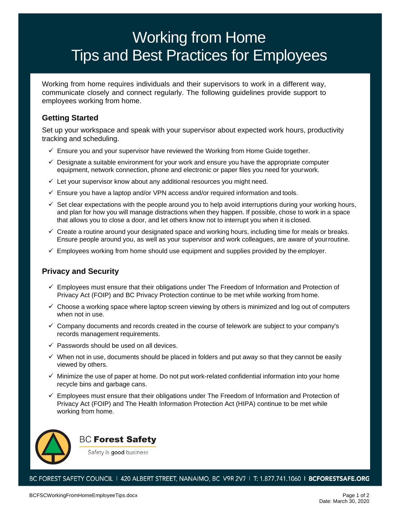# Working from Home Tips and Best Practices for Employees

Working from home requires individuals and their supervisors to work in a different way, communicate closely and connect regularly. The following guidelines provide support to employees working from home.

### **Getting Started**

Set up your workspace and speak with your supervisor about expected work hours, productivity tracking and scheduling.

- $\checkmark$  Ensure you and your supervisor have reviewed the Working from Home Guide together.
- $\checkmark$  Designate a suitable environment for your work and ensure you have the appropriate computer equipment, network connection, phone and electronic or paper files you need for yourwork.
- $\checkmark$  Let your supervisor know about any additional resources you might need.
- $\checkmark$  Ensure you have a laptop and/or VPN access and/or required information and tools.
- $\checkmark$  Set clear expectations with the people around you to help avoid interruptions during your working hours, and plan for how you will manage distractions when they happen. If possible, chose to work in a space that allows you to close a door, and let others know not to interrupt you when it isclosed.
- $\checkmark$  Create a routine around your designated space and working hours, including time for meals or breaks. Ensure people around you, as well as your supervisor and work colleagues, are aware of yourroutine.
- $\checkmark$  Employees working from home should use equipment and supplies provided by the employer.

### **Privacy and Security**

- $\checkmark$  Employees must ensure that their obligations under The Freedom of Information and Protection of Privacy Act (FOIP) and BC Privacy Protection continue to be met while working from home.
- $\checkmark$  Choose a working space where laptop screen viewing by others is minimized and log out of computers when not in use.
- $\checkmark$  Company documents and records created in the course of telework are subject to your company's records management requirements.
- $\checkmark$  Passwords should be used on all devices.
- $\checkmark$  When not in use, documents should be placed in folders and put away so that they cannot be easily viewed by others.
- $\checkmark$  Minimize the use of paper at home. Do not put work-related confidential information into your home recycle bins and garbage cans.
- $\checkmark$  Employees must ensure that their obligations under The Freedom of Information and Protection of Privacy Act (FOIP) and The Health Information Protection Act (HIPA) continue to be met while working from home.



### **BC Forest Safety**

Safety is good business

BC FOREST SAFETY COUNCIL 1 420 ALBERT STREET, NANAIMO, BC V9R 2V7 1 T: 1.877.741.1060 1 BCFORESTSAFE.ORG